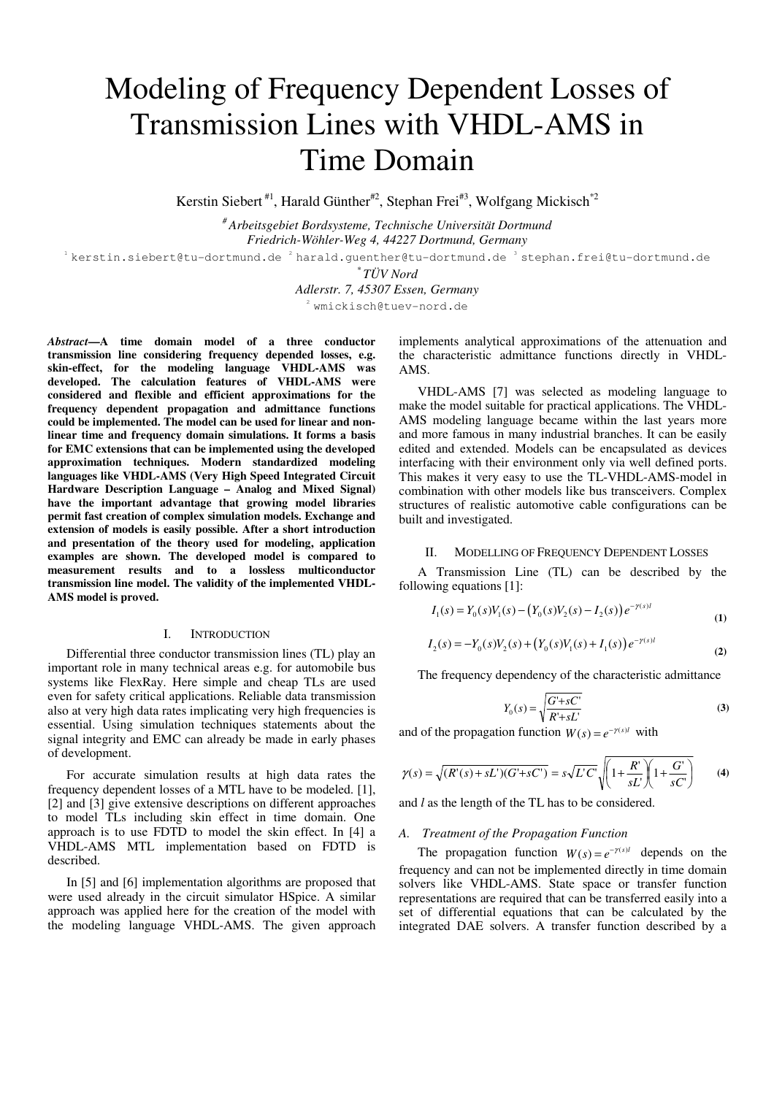# Modeling of Frequency Dependent Losses of Transmission Lines with VHDL-AMS in Time Domain

Kerstin Siebert<sup>#1</sup>, Harald Günther<sup>#2</sup>, Stephan Frei<sup>#3</sup>, Wolfgang Mickisch<sup>\*2</sup>

*# Arbeitsgebiet Bordsysteme, Technische Universität Dortmund Friedrich-Wöhler-Weg 4, 44227 Dortmund, Germany* 

 $1$ kerstin.siebert@tu-dortmund.de  $2$ harald.quenther@tu-dortmund.de 3 stephan.frei@tu-dortmund.de

*\* TÜV Nord* 

# *Adlerstr. 7, 45307 Essen, Germany*

<sup>2</sup> wmickisch@tuev-nord.de

*Abstract***—A time domain model of a three conductor transmission line considering frequency depended losses, e.g. skin-effect, for the modeling language VHDL-AMS was developed. The calculation features of VHDL-AMS were considered and flexible and efficient approximations for the frequency dependent propagation and admittance functions could be implemented. The model can be used for linear and nonlinear time and frequency domain simulations. It forms a basis for EMC extensions that can be implemented using the developed approximation techniques. Modern standardized modeling languages like VHDL-AMS (Very High Speed Integrated Circuit Hardware Description Language – Analog and Mixed Signal) have the important advantage that growing model libraries permit fast creation of complex simulation models. Exchange and extension of models is easily possible. After a short introduction and presentation of the theory used for modeling, application examples are shown. The developed model is compared to measurement results and to a lossless multiconductor transmission line model. The validity of the implemented VHDL-AMS model is proved.** 

#### I. INTRODUCTION

Differential three conductor transmission lines (TL) play an important role in many technical areas e.g. for automobile bus systems like FlexRay. Here simple and cheap TLs are used even for safety critical applications. Reliable data transmission also at very high data rates implicating very high frequencies is essential. Using simulation techniques statements about the signal integrity and EMC can already be made in early phases of development.

For accurate simulation results at high data rates the frequency dependent losses of a MTL have to be modeled. [1], [2] and [3] give extensive descriptions on different approaches to model TLs including skin effect in time domain. One approach is to use FDTD to model the skin effect. In [4] a VHDL-AMS MTL implementation based on FDTD is described.

In [5] and [6] implementation algorithms are proposed that were used already in the circuit simulator HSpice. A similar approach was applied here for the creation of the model with the modeling language VHDL-AMS. The given approach implements analytical approximations of the attenuation and the characteristic admittance functions directly in VHDL-AMS.

VHDL-AMS [7] was selected as modeling language to make the model suitable for practical applications. The VHDL-AMS modeling language became within the last years more and more famous in many industrial branches. It can be easily edited and extended. Models can be encapsulated as devices interfacing with their environment only via well defined ports. This makes it very easy to use the TL-VHDL-AMS-model in combination with other models like bus transceivers. Complex structures of realistic automotive cable configurations can be built and investigated.

# II. MODELLING OF FREQUENCY DEPENDENT LOSSES

A Transmission Line (TL) can be described by the following equations [1]:

$$
I_1(s) = Y_0(s)V_1(s) - (Y_0(s)V_2(s) - I_2(s))e^{-\gamma(s)t}
$$
\n(1)

$$
I_2(s) = -Y_0(s)V_2(s) + (Y_0(s)V_1(s) + I_1(s))e^{-\gamma(s)t}
$$
\n(2)

The frequency dependency of the characteristic admittance

$$
Y_0(s) = \sqrt{\frac{G' + sC'}{R' + sL'}}\tag{3}
$$

and of the propagation function  $W(s) = e^{-\gamma(s)l}$  with

$$
\gamma(s) = \sqrt{(R'(s) + sL')(G' + sC')} = s\sqrt{L'C'}\sqrt{\left(1 + \frac{R'}{sL'}\right)\left(1 + \frac{G'}{sC'}\right)}\tag{4}
$$

and *l* as the length of the TL has to be considered.

#### *A. Treatment of the Propagation Function*

The propagation function  $W(s) = e^{-\gamma(s)t}$  depends on the frequency and can not be implemented directly in time domain solvers like VHDL-AMS. State space or transfer function representations are required that can be transferred easily into a set of differential equations that can be calculated by the integrated DAE solvers. A transfer function described by a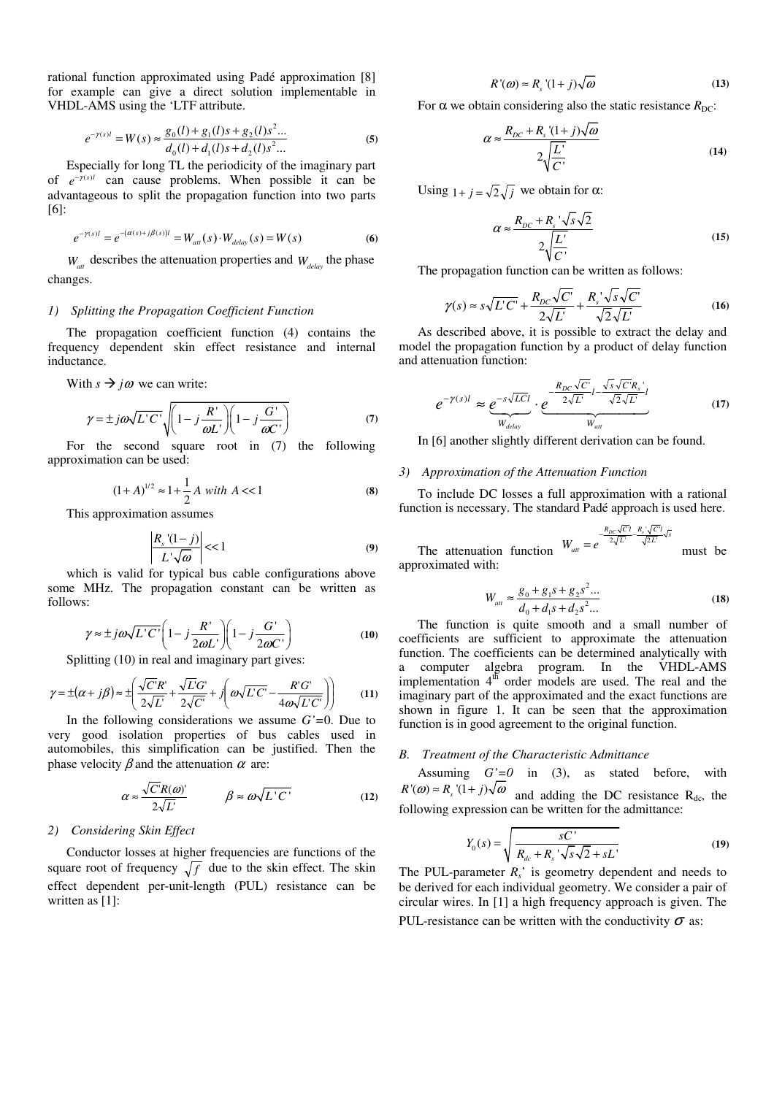rational function approximated using Padé approximation [8] for example can give a direct solution implementable in VHDL-AMS using the 'LTF attribute.

$$
e^{-\gamma(s)l} = W(s) \approx \frac{g_0(l) + g_1(l)s + g_2(l)s^2...}{d_0(l) + d_1(l)s + d_2(l)s^2...}
$$
 (5)

Especially for long TL the periodicity of the imaginary part of  $e^{-\gamma(s)t}$  can cause problems. When possible it can be advantageous to split the propagation function into two parts [6]:

$$
e^{-\gamma(s)l} = e^{-(\alpha(s) + j\beta(s))l} = W_{att}(s) \cdot W_{delay}(s) = W(s)
$$
 (6)

 $W_{\text{at}}$  describes the attenuation properties and  $W_{\text{delay}}$  the phase changes.

# *1) Splitting the Propagation Coefficient Function*

The propagation coefficient function (4) contains the frequency dependent skin effect resistance and internal inductance.

With  $s \rightarrow i\omega$  we can write:

$$
\gamma = \pm j\omega\sqrt{L'C'}\sqrt{\left(1 - j\frac{R'}{\omega L'}\right)\left(1 - j\frac{G'}{\omega C'}\right)}
$$
(7)

For the second square root in (7) the following approximation can be used:

$$
(1+A)^{1/2} \approx 1 + \frac{1}{2}A \text{ with } A << 1
$$
 (8)

This approximation assumes

$$
\left|\frac{R_s(1-j)}{L'\sqrt{\omega}}\right| << 1\tag{9}
$$

which is valid for typical bus cable configurations above some MHz. The propagation constant can be written as follows:

$$
\gamma \approx \pm j\omega \sqrt{L'C'} \left( 1 - j\frac{R'}{2\omega L'} \right) \left( 1 - j\frac{G'}{2\omega C'} \right)
$$
(10)

Splitting (10) in real and imaginary part gives:

$$
\gamma = \pm (\alpha + j\beta) \approx \pm \left( \frac{\sqrt{C}R'}{2\sqrt{L}} + \frac{\sqrt{LC}}{2\sqrt{C}} + j \left( \omega\sqrt{LC} - \frac{R'G'}{4\omega\sqrt{LC}} \right) \right) \tag{11}
$$

In the following considerations we assume *G'=*0. Due to very good isolation properties of bus cables used in automobiles, this simplification can be justified. Then the phase velocity  $\beta$  and the attenuation  $\alpha$  are:

$$
\alpha \approx \frac{\sqrt{C'}R(\omega)}{2\sqrt{L}} \qquad \beta \approx \omega\sqrt{L'C'} \qquad (12)
$$

## *2) Considering Skin Effect*

Conductor losses at higher frequencies are functions of the square root of frequency  $\sqrt{f}$  due to the skin effect. The skin effect dependent per-unit-length (PUL) resistance can be written as [1]:

$$
R'(\omega) \approx R_s (1+j)\sqrt{\omega}
$$
 (13)

For  $\alpha$  we obtain considering also the static resistance  $R_{\text{DC}}$ :

$$
\alpha \approx \frac{R_{DC} + R_s \left(1 + j\right) \sqrt{\omega}}{2 \sqrt{\frac{L'}{C'}}}
$$
\n(14)

Using  $1+j=\sqrt{2}\sqrt{j}$  we obtain for  $\alpha$ :

$$
\alpha \approx \frac{R_{DC} + R_s \sqrt{s} \sqrt{2}}{2 \sqrt{\frac{L'}{C'}}}
$$
(15)

The propagation function can be written as follows:

$$
\gamma(s) \approx s\sqrt{L'C'} + \frac{R_{DC}\sqrt{C'}}{2\sqrt{L}} + \frac{R_s'\sqrt{s}\sqrt{C'}}{\sqrt{2}\sqrt{L}}
$$
(16)

As described above, it is possible to extract the delay and model the propagation function by a product of delay function and attenuation function:

$$
e^{-\gamma(s)l} \approx \underbrace{e^{-s\sqrt{LC}l}}_{W_{delay}} \cdot \underbrace{e^{-\frac{R_{DC}\sqrt{C}}{2\sqrt{L}}l - \frac{\sqrt{s}\sqrt{C}R_s}{\sqrt{2}\sqrt{L}}l}}_{W_{att}}
$$
(17)

In [6] another slightly different derivation can be found.

#### *3) Approximation of the Attenuation Function*

To include DC losses a full approximation with a rational function is necessary. The standard Padé approach is used here.

$$
W_{at} = e^{-\frac{R_{DC}\sqrt{C}T}{2\sqrt{L}} - \frac{R_s\sqrt{C}T}{\sqrt{2L}}\sqrt{s}}
$$

The attenuation function  $V$  must be approximated with:

$$
W_{\text{att}} \approx \frac{g_0 + g_1 s + g_2 s^2 \dots}{d_0 + d_1 s + d_2 s^2 \dots} \tag{18}
$$

The function is quite smooth and a small number of coefficients are sufficient to approximate the attenuation function. The coefficients can be determined analytically with a computer algebra program. In the VHDL-AMS implementation  $4^{th}$  order models are used. The real and the imaginary part of the approximated and the exact functions are shown in figure 1. It can be seen that the approximation function is in good agreement to the original function.

#### *B. Treatment of the Characteristic Admittance*

Assuming  $G'=0$  in (3), as stated before, with  $R'(\omega) \approx R_s (1 + j) \sqrt{\omega}$  and adding the DC resistance R<sub>dc</sub>, the following expression can be written for the admittance:

$$
Y_0(s) = \sqrt{\frac{sC'}{R_{dc} + R_s' \sqrt{s} \sqrt{2} + sL'}}
$$
 (19)

The PUL-parameter  $R_s$ <sup> $\cdot$ </sup> is geometry dependent and needs to be derived for each individual geometry. We consider a pair of circular wires. In [1] a high frequency approach is given. The PUL-resistance can be written with the conductivity  $\sigma$  as: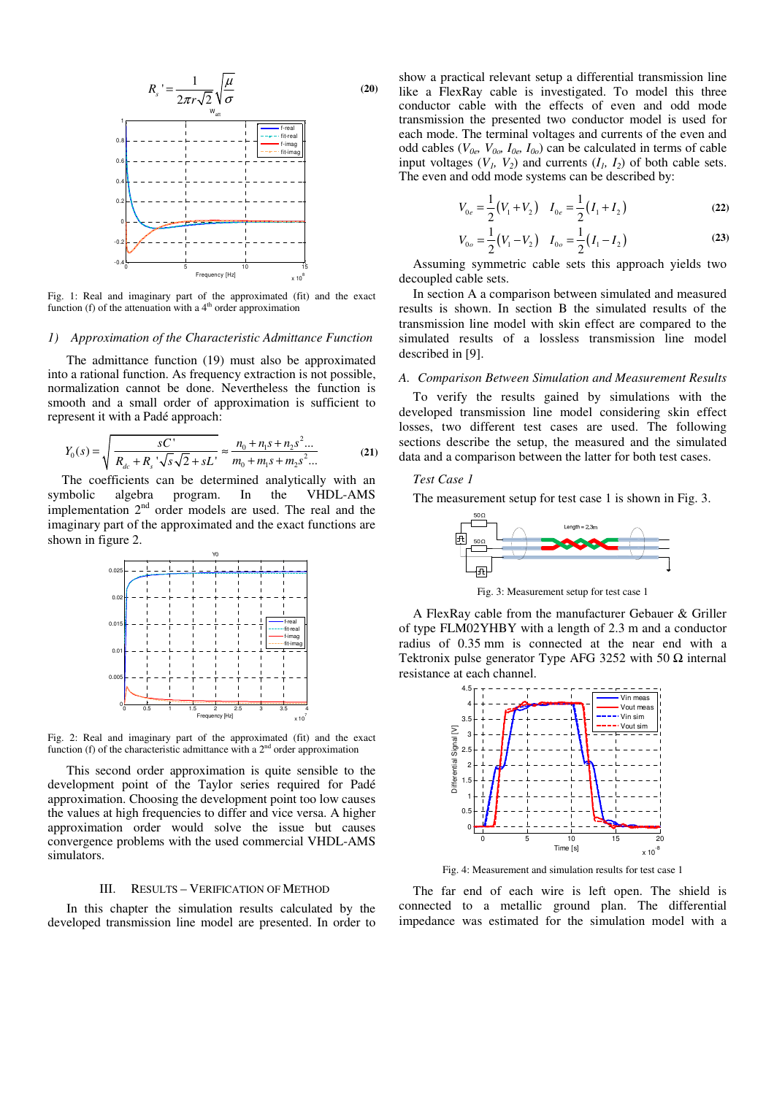

Fig. 1: Real and imaginary part of the approximated (fit) and the exact function (f) of the attenuation with a  $4<sup>th</sup>$  order approximation

#### *1) Approximation of the Characteristic Admittance Function*

The admittance function (19) must also be approximated into a rational function. As frequency extraction is not possible, normalization cannot be done. Nevertheless the function is smooth and a small order of approximation is sufficient to represent it with a Padé approach:

$$
Y_0(s) = \sqrt{\frac{sC'}{R_{dc} + R_s \sqrt{s}\sqrt{2} + sL'}} \approx \frac{n_0 + n_1 s + n_2 s^2 ...}{m_0 + m_1 s + m_2 s^2 ...}
$$
 (21)

The coefficients can be determined analytically with an symbolic algebra program. In the VHDL-AMS implementation 2<sup>nd</sup> order models are used. The real and the imaginary part of the approximated and the exact functions are shown in figure 2.



Fig. 2: Real and imaginary part of the approximated (fit) and the exact function (f) of the characteristic admittance with a  $2<sup>nd</sup>$  order approximation

This second order approximation is quite sensible to the development point of the Taylor series required for Padé approximation. Choosing the development point too low causes the values at high frequencies to differ and vice versa. A higher approximation order would solve the issue but causes convergence problems with the used commercial VHDL-AMS simulators.

### III. RESULTS – VERIFICATION OF METHOD

In this chapter the simulation results calculated by the developed transmission line model are presented. In order to

show a practical relevant setup a differential transmission line like a FlexRay cable is investigated. To model this three conductor cable with the effects of even and odd mode transmission the presented two conductor model is used for each mode. The terminal voltages and currents of the even and odd cables ( $V_{0e}$ ,  $V_{0o}$ ,  $I_{0e}$ ,  $I_{0o}$ ) can be calculated in terms of cable input voltages  $(V_1, V_2)$  and currents  $(I_1, I_2)$  of both cable sets. The even and odd mode systems can be described by:

$$
V_{0e} = \frac{1}{2}(V_1 + V_2) \quad I_{0e} = \frac{1}{2}(I_1 + I_2)
$$
 (22)

$$
V_{0o} = \frac{1}{2}(V_1 - V_2) \quad I_{0o} = \frac{1}{2}(I_1 - I_2)
$$
 (23)

Assuming symmetric cable sets this approach yields two decoupled cable sets.

In section A a comparison between simulated and measured results is shown. In section B the simulated results of the transmission line model with skin effect are compared to the simulated results of a lossless transmission line model described in [9].

# *A. Comparison Between Simulation and Measurement Results*

To verify the results gained by simulations with the developed transmission line model considering skin effect losses, two different test cases are used. The following sections describe the setup, the measured and the simulated data and a comparison between the latter for both test cases.

# *Test Case 1*

The measurement setup for test case 1 is shown in Fig. 3.



Fig. 3: Measurement setup for test case 1

A FlexRay cable from the manufacturer Gebauer & Griller of type FLM02YHBY with a length of 2.3 m and a conductor radius of 0.35 mm is connected at the near end with a Tektronix pulse generator Type AFG 3252 with 50  $\Omega$  internal resistance at each channel.



Fig. 4: Measurement and simulation results for test case 1

The far end of each wire is left open. The shield is connected to a metallic ground plan. The differential impedance was estimated for the simulation model with a